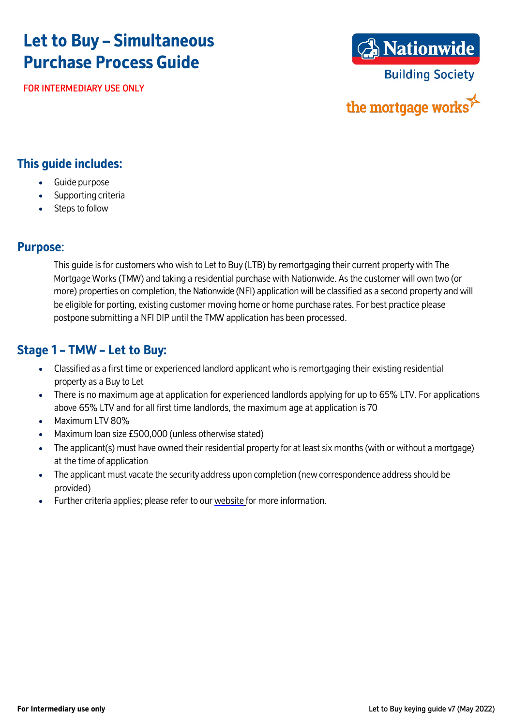# **Let to Buy – Simultaneous Purchase Process Guide**

FOR INTERMEDIARY USE ONLY



the mortgage works

#### **This guide includes:**

- Guide purpose
- Supporting criteria
- Steps to follow

#### **Purpose**:

This guide is for customers who wish to Let to Buy (LTB) by remortgaging their current property with The Mortgage Works (TMW) and taking a residential purchase with Nationwide. As the customer will own two (or more) properties on completion, the Nationwide (NFI) application will be classified as a second property and will be eligible for porting, existing customer moving home or home purchase rates. For best practice please postpone submitting a NFI DIP until the TMW application has been processed.

### **Stage 1 – TMW – Let to Buy:**

- Classified as a first time or experienced landlord applicant who is remortgaging their existing residential property as a Buyto Let
- There is no maximum age at application for experienced landlords applying for up to 65% LTV. For applications above 65% LTV and for all first time landlords, the maximum age at application is 70
- Maximum LTV 80%
- Maximum loan size £500,000 (unless otherwise stated)
- The applicant(s) must have owned their residential property for at least six months (with or without a mortgage) at the time of application
- The applicant must vacate the security address upon completion (new correspondence address should be provided)
- Further criteria applies; please refer to our [website](http://www.themortgageworks.co.uk/) for more information.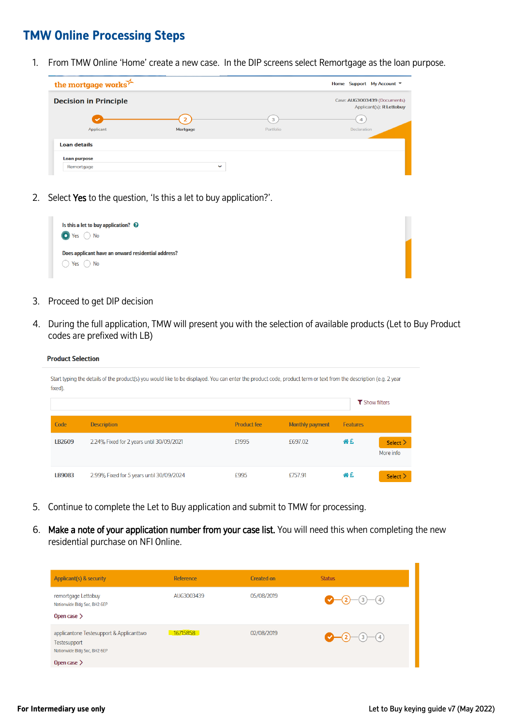#### **TMW Online Processing Steps**

1. From TMW Online 'Home' create a new case. In the DIP screens select Remortgage as the loan purpose.



2. Select Yes to the question, 'Is this a let to buy application?'.



3. Proceed to get DIP decision

**Product Selection** 

4. During the full application, TMW will present you with the selection of available products (Let to Buy Product codes are prefixed with LB)

| fixed).            | Start typing the details of the product(s) you would like to be displayed. You can enter the product code, product term or text from the description (e.g. 2 year |                    |                 |                 | <b>T</b> Show filters      |
|--------------------|-------------------------------------------------------------------------------------------------------------------------------------------------------------------|--------------------|-----------------|-----------------|----------------------------|
| Code               | <b>Description</b>                                                                                                                                                | <b>Product fee</b> | Monthly payment | <b>Features</b> |                            |
| IB <sub>2609</sub> | 2.24% Fixed for 2 years until 30/09/2021                                                                                                                          | £1995              | £697.02         | 谷丘              | Select $\geq$<br>More info |
| IB9083             | 2.99% Fixed for 5 years until 30/09/2024                                                                                                                          | £995               | £757.91         | 谷丘              | Select $\geq$              |

- 5. Continue to complete the Let to Buy application and submit to TMW for processing.
- 6. Make a note of your application number from your case list. You will need this when completing the new residential purchase on NFI Online.

| Applicant(s) & security                                                                                      | <b>Reference</b> | Created on | <b>Status</b> |
|--------------------------------------------------------------------------------------------------------------|------------------|------------|---------------|
| remortgage Lettobuy<br>Nationwide Bldg Soc, BH2 6EP<br>Open case $\geq$                                      | AUG3003439       | 05/08/2019 | $-2$ -3 - 4   |
| applicantone Testesupport & Applicanttwo<br>Testesupport<br>Nationwide Bldg Soc, BH2 6EP<br>Open case $\geq$ | 16715858         | 02/08/2019 | $-2$ -3 - 4   |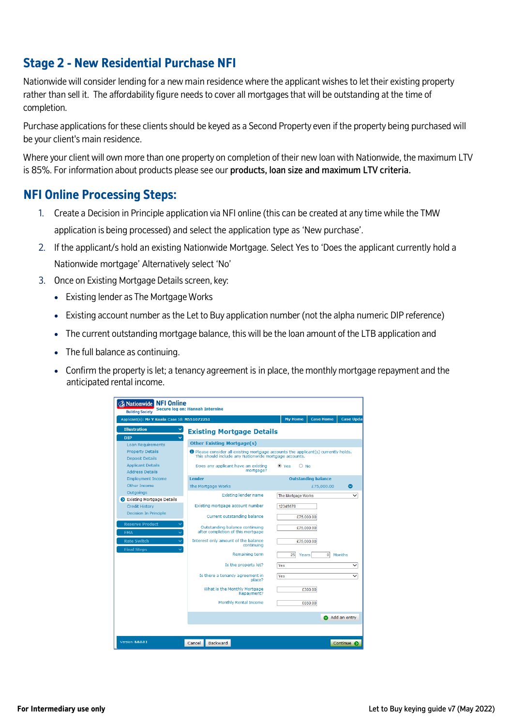# **Stage 2 - New Residential Purchase NFI**

Nationwide will consider lending for a new main residence where the applicant wishes to let their existing property rather than sell it. The affordability figure needs to cover all mortgages that will be outstanding at the time of completion.

Purchase applications for these clients should be keyed as a Second Property even if the property being purchased will be your client's main residence.

Where your client will own more than one property on completion of their new loan with Nationwide, the maximum LTV is 85%. For information about products please see our products, loan size and maximum LTV criteria.

## **NFI Online Processing Steps:**

- 1. Create a Decision in Principle application via NFI online (this can be created at anytime while the TMW application is being processed) and select the application type as 'New purchase'.
- 2. If the applicant/s hold an existing Nationwide Mortgage. Select Yes to 'Does the applicant currently hold a Nationwide mortgage' Alternatively select 'No'
- 3. Once on Existing Mortgage Details screen, key:
	- Existing lender as The Mortgage Works
	- Existing account number as the Let to Buy application number (not the alpha numeric DIP reference)
	- The current outstanding mortgage balance, this will be the loan amount of the LTB application and
	- The full balance as continuing.
	- Confirm the property is let; a tenancy agreement is in place, the monthly mortgage repayment and the anticipated rental income.

| <b>ANationwide NFI Online</b><br>Secure log on: Hannah Internine<br><b>Building Society</b>                                                                                                                                                                                                                                                                                          |                                                                                                                                                                                                                                                                                                                                                                                                                                                                                                                  |                                                                                                                                                               |  |  |  |  |  |
|--------------------------------------------------------------------------------------------------------------------------------------------------------------------------------------------------------------------------------------------------------------------------------------------------------------------------------------------------------------------------------------|------------------------------------------------------------------------------------------------------------------------------------------------------------------------------------------------------------------------------------------------------------------------------------------------------------------------------------------------------------------------------------------------------------------------------------------------------------------------------------------------------------------|---------------------------------------------------------------------------------------------------------------------------------------------------------------|--|--|--|--|--|
| <b>My Home</b><br><b>Case Home</b><br>Applicant(s): Mr Y Koala Case Id: M551072251                                                                                                                                                                                                                                                                                                   |                                                                                                                                                                                                                                                                                                                                                                                                                                                                                                                  |                                                                                                                                                               |  |  |  |  |  |
| <b>Illustration</b>                                                                                                                                                                                                                                                                                                                                                                  | <b>Existing Mortgage Details</b>                                                                                                                                                                                                                                                                                                                                                                                                                                                                                 |                                                                                                                                                               |  |  |  |  |  |
| <b>DIP</b><br>$\ddotmark$<br><b>Loan Requirements</b><br><b>Property Details</b><br><b>Deposit Details</b><br><b>Applicant Details</b><br><b>Address Details</b><br><b>Employment Income</b><br>Other Income<br><b>Outgoings</b><br>Existing Mortgage Details<br><b>Credit History</b><br><b>Decision In Principle</b><br><b>Reserve Product</b><br><b>FMA</b><br><b>Rate Switch</b> | <b>Other Existing Mortgage(s)</b><br><b>D</b> Please consider all existing mortgage accounts the applicant(s) currently holds.<br>This should include any Nationwide mortgage accounts.<br>Does any applicant have an existing<br>mortgage?<br><b>Lender</b><br>The Mortgage Works<br><b>Existing lender name</b><br>Existing mortgage account number<br>Current outstanding balance<br>Outstanding balance continuing<br>after completion of this mortgage<br>Interest only amount of the balance<br>continuing | $\bigcirc$ No<br>$\bullet$ Yes<br><b>Outstanding balance</b><br>◎<br>£75,000.00<br>$\checkmark$<br>The Mortgage Works<br>12345678<br>£75,000.00<br>£75,000.00 |  |  |  |  |  |
| <b>Final Steps</b>                                                                                                                                                                                                                                                                                                                                                                   | Remaining term<br>Is the property let?<br>Is there a tenancy agreement in<br>place?<br>What is the Monthly Mortgage<br>Repayment?<br><b>Monthly Rental Income</b>                                                                                                                                                                                                                                                                                                                                                | $\overline{0}$<br>Months<br>25 <sup>2</sup><br>Years<br>Yes<br>$\checkmark$<br>Yes<br>$\checkmark$<br>£300.00<br>£650.00                                      |  |  |  |  |  |
| Version: 8.0.0.0 I                                                                                                                                                                                                                                                                                                                                                                   | Backward<br>Cancel                                                                                                                                                                                                                                                                                                                                                                                                                                                                                               | Add an entry<br>Continue <b>O</b>                                                                                                                             |  |  |  |  |  |